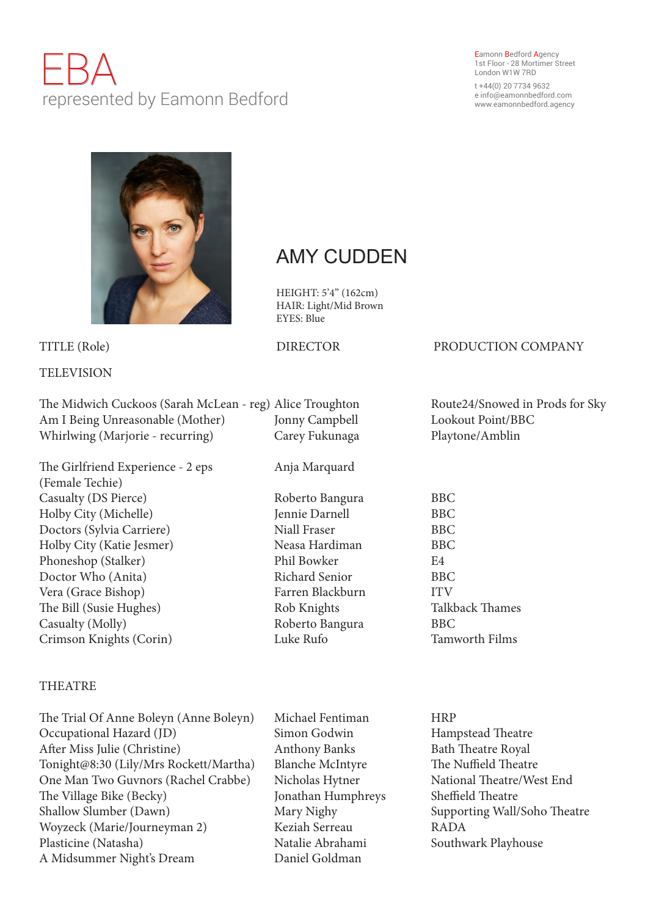# EBA represented by Eamonn Bedford

### Eamonn Bedford Agency 1st Floor - 28 Mortimer Street London W1W 7RD

t +44(0) 20 7734 9632 e info@eamonnbedford.com www.eamonnbedford.agency



## **TELEVISION**

The Midwich Cuckoos (Sarah McLean - reg) Alice Troughton Route24/Snowed in Prods for Sky Am I Being Unreasonable (Mother) Jonny Campbell Lookout Point/BBC Whirlwing (Marjorie - recurring) Carey Fukunaga Playtone/Amblin The Girlfriend Experience - 2 eps Anja Marquard

(Female Techie) Casualty (DS Pierce) Roberto Bangura BBC Holby City (Michelle) Jennie Darnell BBC Doctors (Sylvia Carriere) Niall Fraser BBC Holby City (Katie Jesmer) Neasa Hardiman BBC Phoneshop (Stalker) Phil Bowker E4 Doctor Who (Anita) Richard Senior BBC Vera (Grace Bishop) Farren Blackburn ITV The Bill (Susie Hughes) Rob Knights Talkback Thames Casualty (Molly) Roberto Bangura BBC Crimson Knights (Corin) Luke Rufo Tamworth Films

## THEATRE

The Trial Of Anne Boleyn (Anne Boleyn) Michael Fentiman HRP Occupational Hazard (JD) Simon Godwin Hampstead Theatre After Miss Julie (Christine) Anthony Banks Bath Theatre Royal Tonight@8:30 (Lily/Mrs Rockett/Martha) Blanche McIntyre The Nuffield Theatre One Man Two Guvnors (Rachel Crabbe) Nicholas Hytner National Theatre/West End The Village Bike (Becky) Jonathan Humphreys Sheffield Theatre Shallow Slumber (Dawn) Mary Nighy Supporting Wall/Soho Theatre Woyzeck (Marie/Journeyman 2) Keziah Serreau RADA Plasticine (Natasha) Natalie Abrahami Southwark Playhouse A Midsummer Night's Dream Daniel Goldman

## AMY CUDDEN

HEIGHT: 5'4" (162cm) HAIR: Light/Mid Brown EYES: Blue

## TITLE (Role) DIRECTOR PRODUCTION COMPANY